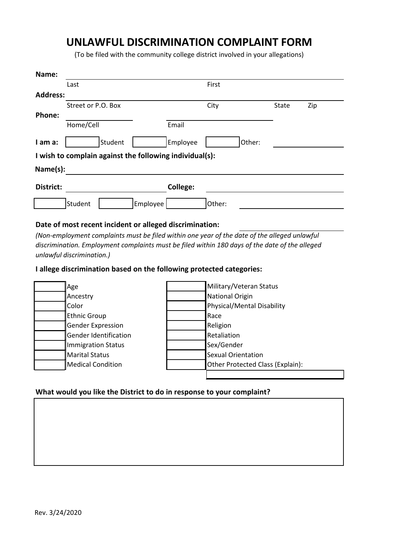## **UNLAWFUL DISCRIMINATION COMPLAINT FORM**

(To be filed with the community college district involved in your allegations)

| Name:                                                   |                     |                    |       |     |  |
|---------------------------------------------------------|---------------------|--------------------|-------|-----|--|
|                                                         | Last                | First              |       |     |  |
| <b>Address:</b>                                         |                     |                    |       |     |  |
|                                                         | Street or P.O. Box  | City               | State | Zip |  |
| <b>Phone:</b>                                           |                     |                    |       |     |  |
|                                                         | Home/Cell           | Email              |       |     |  |
| I am a:                                                 | Student             | Employee<br>Other: |       |     |  |
| I wish to complain against the following individual(s): |                     |                    |       |     |  |
| Name(s):                                                |                     |                    |       |     |  |
| District:                                               |                     | <b>College:</b>    |       |     |  |
|                                                         | Employee<br>Student | Other:             |       |     |  |

## **Date of most recent incident or alleged discrimination:**

*(Non-employment complaints must be filed within one year of the date of the alleged unlawful discrimination. Employment complaints must be filed within 180 days of the date of the alleged unlawful discrimination.)*

## **I allege discrimination based on the following protected categories:**

| Age                          | Military/Veteran Status          |
|------------------------------|----------------------------------|
| Ancestry                     | National Origin                  |
| Color                        | Physical/Mental Disability       |
| Ethnic Group                 | Race                             |
| <b>Gender Expression</b>     | Religion                         |
| <b>Gender Identification</b> | Retaliation                      |
| Immigration Status           | Sex/Gender                       |
| Marital Status               | <b>Sexual Orientation</b>        |
| Medical Condition            | Other Protected Class (Explain): |
|                              |                                  |

## **What would you like the District to do in response to your complaint?**